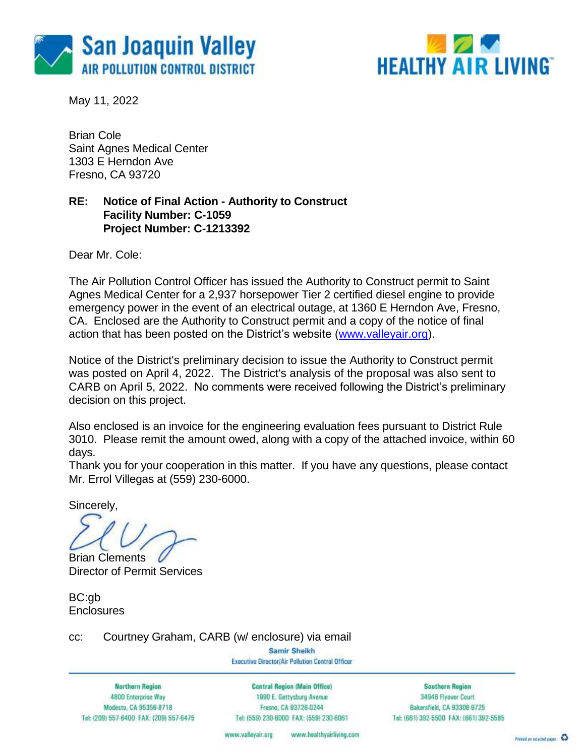



May 11, 2022

Brian Cole Saint Agnes Medical Center 1303 E Herndon Ave Fresno, CA 93720

### **RE: Notice of Final Action - Authority to Construct Facility Number: C-1059 Project Number: C-1213392**

Dear Mr. Cole:

The Air Pollution Control Officer has issued the Authority to Construct permit to Saint Agnes Medical Center for a 2,937 horsepower Tier 2 certified diesel engine to provide emergency power in the event of an electrical outage, at 1360 E Herndon Ave, Fresno, CA. Enclosed are the Authority to Construct permit and a copy of the notice of final action that has been posted on the District's website [\(www.valleyair.org\)](http://www.valleyair.org/).

Notice of the District's preliminary decision to issue the Authority to Construct permit was posted on April 4, 2022. The District's analysis of the proposal was also sent to CARB on April 5, 2022. No comments were received following the District's preliminary decision on this project.

Also enclosed is an invoice for the engineering evaluation fees pursuant to District Rule 3010. Please remit the amount owed, along with a copy of the attached invoice, within 60 days.

Thank you for your cooperation in this matter. If you have any questions, please contact Mr. Errol Villegas at (559) 230-6000.

Sincerely,

Brian Clements Director of Permit Services

BC:gb **Enclosures** 

cc: Courtney Graham, CARB (w/ enclosure) via email

Samir Sheikh Executive Director/Air Pollution Control Officer

**Northern Region** 4800 Enterprise Way Modesto, CA 95356-8718 Tel: (209) 557-6400 FAX: (209) 557-6475

**Central Region (Main Office)** 1990 E. Gettysburg Avenue Fresna, CA 93726-0244 Tel: (559) 230-6000 FAX: (559) 230-6061

**Southern Region** 34946 Flyover Court Bakersfield, CA 93308-9725 Tel: (661) 392-5500 FAX: (661) 392-5585

www.healthyairliving.com www.valleyair.org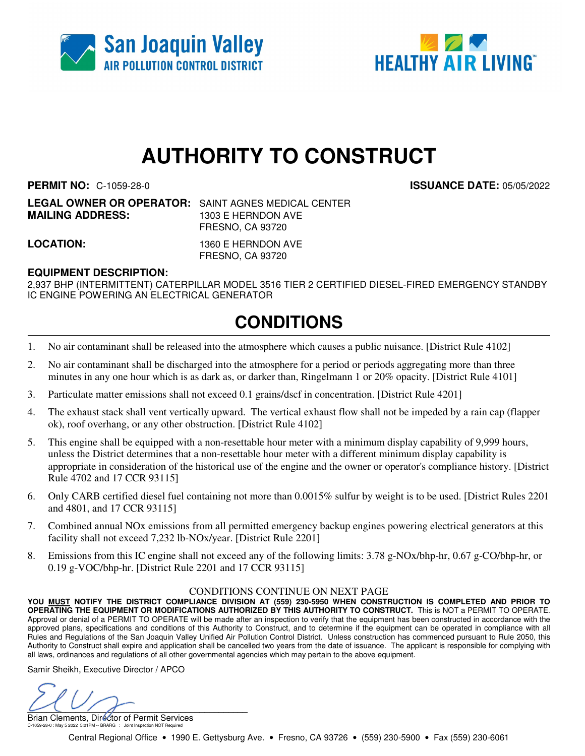



# **AUTHORITY TO CONSTRUCT**

**PERMIT NO:** C-1059-28-0 **ISSUANCE DATE:** 05/05/2022

**LEGAL OWNER OR OPERATOR:** SAINT AGNES MEDICAL CENTER **MAILING ADDRESS:** 1303 E HERNDON AVE FRESNO, CA 93720

**LOCATION:** 1360 E HERNDON AVE FRESNO, CA 93720

#### **EQUIPMENT DESCRIPTION:**

2,937 BHP (INTERMITTENT) CATERPILLAR MODEL 3516 TIER 2 CERTIFIED DIESEL-FIRED EMERGENCY STANDBY IC ENGINE POWERING AN ELECTRICAL GENERATOR

## **CONDITIONS**

- 1. No air contaminant shall be released into the atmosphere which causes a public nuisance. [District Rule 4102]
- 2. No air contaminant shall be discharged into the atmosphere for a period or periods aggregating more than three minutes in any one hour which is as dark as, or darker than, Ringelmann 1 or 20% opacity. [District Rule 4101]
- 3. Particulate matter emissions shall not exceed 0.1 grains/dscf in concentration. [District Rule 4201]
- 4. The exhaust stack shall vent vertically upward. The vertical exhaust flow shall not be impeded by a rain cap (flapper ok), roof overhang, or any other obstruction. [District Rule 4102]
- 5. This engine shall be equipped with a non-resettable hour meter with a minimum display capability of 9,999 hours, unless the District determines that a non-resettable hour meter with a different minimum display capability is appropriate in consideration of the historical use of the engine and the owner or operator's compliance history. [District Rule 4702 and 17 CCR 93115]
- 6. Only CARB certified diesel fuel containing not more than 0.0015% sulfur by weight is to be used. [District Rules 2201 and 4801, and 17 CCR 93115]
- 7. Combined annual NOx emissions from all permitted emergency backup engines powering electrical generators at this facility shall not exceed 7,232 lb-NOx/year. [District Rule 2201]
- 8. Emissions from this IC engine shall not exceed any of the following limits: 3.78 g-NOx/bhp-hr, 0.67 g-CO/bhp-hr, or 0.19 g-VOC/bhp-hr. [District Rule 2201 and 17 CCR 93115]

#### CONDITIONS CONTINUE ON NEXT PAGE

**YOU MUST NOTIFY THE DISTRICT COMPLIANCE DIVISION AT (559) 230-5950 WHEN CONSTRUCTION IS COMPLETED AND PRIOR TO OPERATING THE EQUIPMENT OR MODIFICATIONS AUTHORIZED BY THIS AUTHORITY TO CONSTRUCT.** This is NOT a PERMIT TO OPERATE. Approval or denial of a PERMIT TO OPERATE will be made after an inspection to verify that the equipment has been constructed in accordance with the approved plans, specifications and conditions of this Authority to Construct, and to determine if the equipment can be operated in compliance with all Rules and Regulations of the San Joaquin Valley Unified Air Pollution Control District. Unless construction has commenced pursuant to Rule 2050, this Authority to Construct shall expire and application shall be cancelled two years from the date of issuance. The applicant is responsible for complying with all laws, ordinances and regulations of all other governmental agencies which may pertain to the above equipment.

Samir Sheikh, Executive Director / APCO

 $U(U \mid f)$ 

Brian Clements, Director of Permit Services C-1059-28-0 : May 5 2022 5:01PM -- BRARG : Joint Inspection NOT Required

Central Regional Office • 1990 E. Gettysburg Ave. • Fresno, CA 93726 • (559) 230-5900 • Fax (559) 230-6061